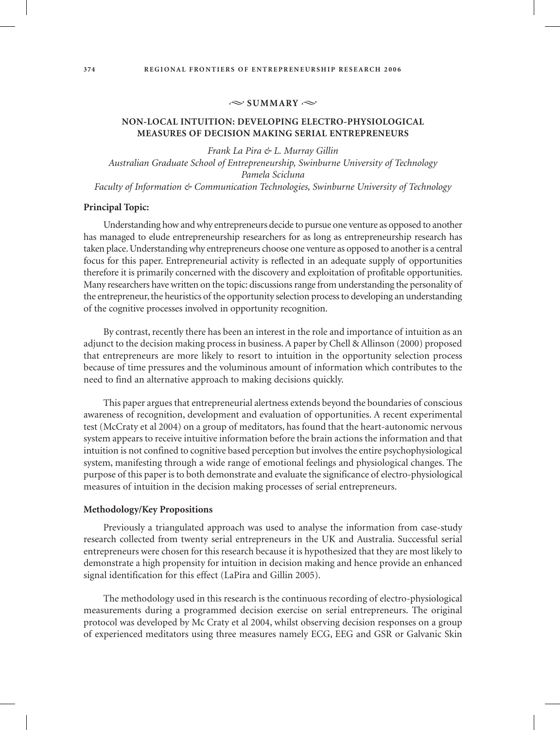### $\approx$  SUMMARY  $\approx$

# **Non-local intuition: Developing Electro-Physiological Measures of Decision Making Serial Entrepreneurs**

*Frank La Pira & L. Murray Gillin Australian Graduate School of Entrepreneurship, Swinburne University of Technology Pamela Scicluna Faculty of Information & Communication Technologies, Swinburne University of Technology*

#### **Principal Topic:**

Understanding how and why entrepreneurs decide to pursue one venture as opposed to another has managed to elude entrepreneurship researchers for as long as entrepreneurship research has taken place. Understanding why entrepreneurs choose one venture as opposed to another is a central focus for this paper. Entrepreneurial activity is reflected in an adequate supply of opportunities therefore it is primarily concerned with the discovery and exploitation of profitable opportunities. Many researchers have written on the topic: discussions range from understanding the personality of the entrepreneur, the heuristics of the opportunity selection process to developing an understanding of the cognitive processes involved in opportunity recognition.

By contrast, recently there has been an interest in the role and importance of intuition as an adjunct to the decision making process in business. A paper by Chell & Allinson (2000) proposed that entrepreneurs are more likely to resort to intuition in the opportunity selection process because of time pressures and the voluminous amount of information which contributes to the need to find an alternative approach to making decisions quickly.

This paper argues that entrepreneurial alertness extends beyond the boundaries of conscious awareness of recognition, development and evaluation of opportunities. A recent experimental test (McCraty et al 2004) on a group of meditators, has found that the heart-autonomic nervous system appears to receive intuitive information before the brain actions the information and that intuition is not confined to cognitive based perception but involves the entire psychophysiological system, manifesting through a wide range of emotional feelings and physiological changes. The purpose of this paper is to both demonstrate and evaluate the significance of electro-physiological measures of intuition in the decision making processes of serial entrepreneurs.

## **Methodology/Key Propositions**

Previously a triangulated approach was used to analyse the information from case-study research collected from twenty serial entrepreneurs in the UK and Australia. Successful serial entrepreneurs were chosen for this research because it is hypothesized that they are most likely to demonstrate a high propensity for intuition in decision making and hence provide an enhanced signal identification for this effect (LaPira and Gillin 2005).

The methodology used in this research is the continuous recording of electro-physiological measurements during a programmed decision exercise on serial entrepreneurs. The original protocol was developed by Mc Craty et al 2004, whilst observing decision responses on a group of experienced meditators using three measures namely ECG, EEG and GSR or Galvanic Skin